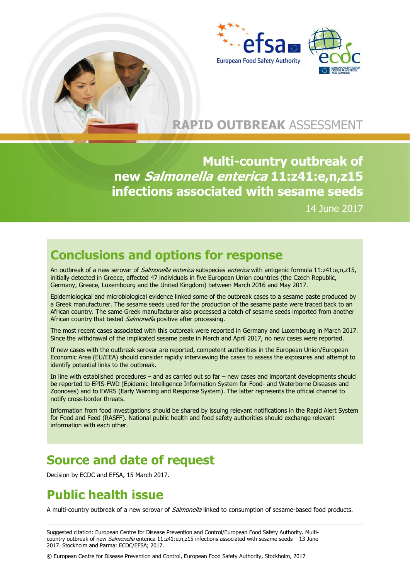

## **RAPID OUTBREAK** ASSESSMENT

**Multi-country outbreak of new Salmonella enterica 11:z41:e,n,z15 infections associated with sesame seeds**

14 June 2017

### **Conclusions and options for response**

An outbreak of a new serovar of Salmonella enterica subspecies enterica with antigenic formula 11:z41:e,n,z15, initially detected in Greece, affected 47 individuals in five European Union countries (the Czech Republic, Germany, Greece, Luxembourg and the United Kingdom) between March 2016 and May 2017.

Epidemiological and microbiological evidence linked some of the outbreak cases to a sesame paste produced by a Greek manufacturer. The sesame seeds used for the production of the sesame paste were traced back to an African country. The same Greek manufacturer also processed a batch of sesame seeds imported from another African country that tested Salmonella positive after processing.

The most recent cases associated with this outbreak were reported in Germany and Luxembourg in March 2017. Since the withdrawal of the implicated sesame paste in March and April 2017, no new cases were reported.

If new cases with the outbreak serovar are reported, competent authorities in the European Union/European Economic Area (EU/EEA) should consider rapidly interviewing the cases to assess the exposures and attempt to identify potential links to the outbreak.

In line with established procedures – and as carried out so far – new cases and important developments should be reported to EPIS-FWD (Epidemic Intelligence Information System for Food- and Waterborne Diseases and Zoonoses) and to EWRS (Early Warning and Response System). The latter represents the official channel to notify cross-border threats.

Information from food investigations should be shared by issuing relevant notifications in the Rapid Alert System for Food and Feed (RASFF). National public health and food safety authorities should exchange relevant information with each other.

## **Source and date of request**

Decision by ECDC and EFSA, 15 March 2017.

# **Public health issue**

A multi-country outbreak of a new serovar of Salmonella linked to consumption of sesame-based food products.

Suggested citation: European Centre for Disease Prevention and Control/European Food Safety Authority. Multicountry outbreak of new Salmonella enterica 11:z41:e,n,z15 infections associated with sesame seeds - 13 June 2017. Stockholm and Parma: ECDC/EFSA; 2017.

© European Centre for Disease Prevention and Control, European Food Safety Authority, Stockholm, 2017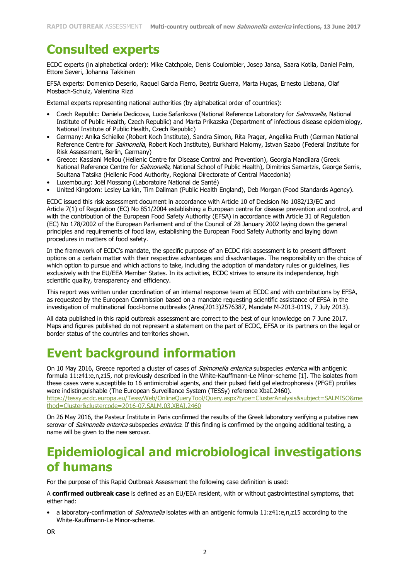# **Consulted experts**

ECDC experts (in alphabetical order): Mike Catchpole, Denis Coulombier, Josep Jansa, Saara Kotila, Daniel Palm, Ettore Severi, Johanna Takkinen

EFSA experts: Domenico Deserio, Raquel Garcia Fierro, Beatriz Guerra, Marta Hugas, Ernesto Liebana, Olaf Mosbach-Schulz, Valentina Rizzi

External experts representing national authorities (by alphabetical order of countries):

- Czech Republic: Daniela Dedicova, Lucie Safarikova (National Reference Laboratory for *Salmonella*, National Institute of Public Health, Czech Republic) and Marta Prikazska (Department of infectious disease epidemiology, National Institute of Public Health, Czech Republic)
- Germany: Anika Schielke (Robert Koch Institute), Sandra Simon, Rita Prager, Angelika Fruth (German National Reference Centre for *Salmonella*, Robert Koch Institute), Burkhard Malorny, Istvan Szabo (Federal Institute for Risk Assessment, Berlin, Germany)
- Greece: Kassiani Mellou (Hellenic Centre for Disease Control and Prevention), Georgia Mandilara (Greek National Reference Centre for Salmonella, National School of Public Health), Dimitrios Samartzis, George Serris, Soultana Tatsika (Hellenic Food Authority, Regional Directorate of Central Macedonia)
- Luxembourg: Joël Mossong (Laboratoire National de Santé)
- United Kingdom: Lesley Larkin, Tim Dallman (Public Health England), Deb Morgan (Food Standards Agency).

ECDC issued this risk assessment document in accordance with Article 10 of Decision No 1082/13/EC and Article 7(1) of Regulation (EC) No 851/2004 establishing a European centre for disease prevention and control, and with the contribution of the European Food Safety Authority (EFSA) in accordance with Article 31 of Regulation (EC) No 178/2002 of the European Parliament and of the Council of 28 January 2002 laying down the general principles and requirements of food law, establishing the European Food Safety Authority and laying down procedures in matters of food safety.

In the framework of ECDC's mandate, the specific purpose of an ECDC risk assessment is to present different options on a certain matter with their respective advantages and disadvantages. The responsibility on the choice of which option to pursue and which actions to take, including the adoption of mandatory rules or guidelines, lies exclusively with the EU/EEA Member States. In its activities, ECDC strives to ensure its independence, high scientific quality, transparency and efficiency.

This report was written under coordination of an internal response team at ECDC and with contributions by EFSA, as requested by the European Commission based on a mandate requesting scientific assistance of EFSA in the investigation of multinational food-borne outbreaks (Ares(2013)2576387, Mandate M-2013-0119, 7 July 2013).

All data published in this rapid outbreak assessment are correct to the best of our knowledge on 7 June 2017. Maps and figures published do not represent a statement on the part of ECDC, EFSA or its partners on the legal or border status of the countries and territories shown.

# **Event background information**

On 10 May 2016, Greece reported a cluster of cases of *Salmonella enterica* subspecies *enterica* with antigenic formula 11:z41:e,n,z15, not previously described in the White-Kauffmann-Le Minor-scheme [1]. The isolates from these cases were susceptible to 16 antimicrobial agents, and their pulsed field gel electrophoresis (PFGE) profiles were indistinguishable (The European Surveillance System (TESSy) reference XbaI.2460). [https://tessy.ecdc.europa.eu/TessyWeb/OnlineQueryTool/Query.aspx?type=ClusterAnalysis&subject=SALMISO&me](https://tessy.ecdc.europa.eu/TessyWeb/OnlineQueryTool/Query.aspx?type=ClusterAnalysis&subject=SALMISO&method=Cluster&clustercode=2016-07.SALM.03.XBAI.2460)

[thod=Cluster&clustercode=2016-07.SALM.03.XBAI.2460](https://tessy.ecdc.europa.eu/TessyWeb/OnlineQueryTool/Query.aspx?type=ClusterAnalysis&subject=SALMISO&method=Cluster&clustercode=2016-07.SALM.03.XBAI.2460)

On 26 May 2016, the Pasteur Institute in Paris confirmed the results of the Greek laboratory verifying a putative new serovar of *Salmonella enterica* subspecies *enterica*. If this finding is confirmed by the ongoing additional testing, a name will be given to the new serovar.

### **Epidemiological and microbiological investigations of humans**

For the purpose of this Rapid Outbreak Assessment the following case definition is used:

A **confirmed outbreak case** is defined as an EU/EEA resident, with or without gastrointestinal symptoms, that either had:

a laboratory-confirmation of *Salmonella* isolates with an antigenic formula 11:z41:e,n,z15 according to the White-Kauffmann-Le Minor-scheme.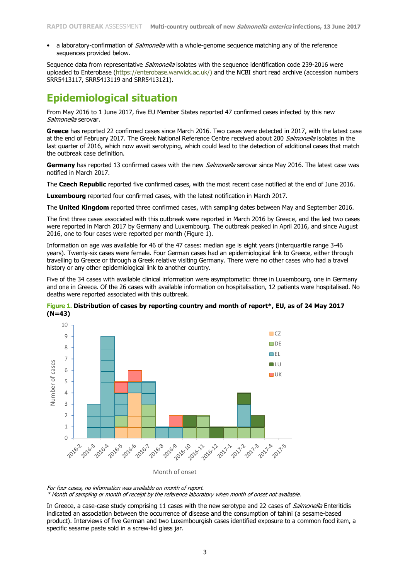a laboratory-confirmation of *Salmonella* with a whole-genome sequence matching any of the reference sequences provided below.

Sequence data from representative *Salmonella* isolates with the sequence identification code 239-2016 were uploaded to Enterobase [\(https://enterobase.warwick.ac.uk/\)](https://enterobase.warwick.ac.uk/) and the NCBI short read archive (accession numbers SRR5413117, SRR5413119 and SRR5413121).

### **Epidemiological situation**

From May 2016 to 1 June 2017, five EU Member States reported 47 confirmed cases infected by this new Salmonella serovar.

**Greece** has reported 22 confirmed cases since March 2016. Two cases were detected in 2017, with the latest case at the end of February 2017. The Greek National Reference Centre received about 200 Salmonella isolates in the last quarter of 2016, which now await serotyping, which could lead to the detection of additional cases that match the outbreak case definition.

Germany has reported 13 confirmed cases with the new *Salmonella* serovar since May 2016. The latest case was notified in March 2017.

The **Czech Republic** reported five confirmed cases, with the most recent case notified at the end of June 2016.

**Luxembourg** reported four confirmed cases, with the latest notification in March 2017.

The **United Kingdom** reported three confirmed cases, with sampling dates between May and September 2016.

The first three cases associated with this outbreak were reported in March 2016 by Greece, and the last two cases were reported in March 2017 by Germany and Luxembourg. The outbreak peaked in April 2016, and since August 2016, one to four cases were reported per month (Figure 1).

Information on age was available for 46 of the 47 cases: median age is eight years (interquartile range 3-46 years). Twenty-six cases were female. Four German cases had an epidemiological link to Greece, either through travelling to Greece or through a Greek relative visiting Germany. There were no other cases who had a travel history or any other epidemiological link to another country.

Five of the 34 cases with available clinical information were asymptomatic: three in Luxembourg, one in Germany and one in Greece. Of the 26 cases with available information on hospitalisation, 12 patients were hospitalised. No deaths were reported associated with this outbreak.



**Figure 1. Distribution of cases by reporting country and month of report\*, EU, as of 24 May 2017 (N=43)**

Month of onset

For four cases, no information was available on month of report. \* Month of sampling or month of receipt by the reference laboratory when month of onset not available.

In Greece, a case-case study comprising 11 cases with the new serotype and 22 cases of Salmonella Enteritidis indicated an association between the occurrence of disease and the consumption of tahini (a sesame-based product). Interviews of five German and two Luxembourgish cases identified exposure to a common food item, a specific sesame paste sold in a screw-lid glass jar.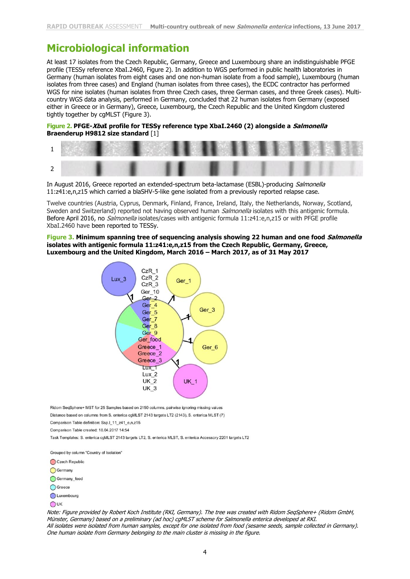### **Microbiological information**

At least 17 isolates from the Czech Republic, Germany, Greece and Luxembourg share an indistinguishable PFGE profile (TESSy reference XbaI.2460, Figure 2). In addition to WGS performed in public health laboratories in Germany (human isolates from eight cases and one non-human isolate from a food sample), Luxembourg (human isolates from three cases) and England (human isolates from three cases), the ECDC contractor has performed WGS for nine isolates (human isolates from three Czech cases, three German cases, and three Greek cases). Multicountry WGS data analysis, performed in Germany, concluded that 22 human isolates from Germany (exposed either in Greece or in Germany), Greece, Luxembourg, the Czech Republic and the United Kingdom clustered tightly together by cgMLST (Figure 3).

#### **Figure 2. PFGE-XbaI profile for TESSy reference type XbaI.2460 (2) alongside a Salmonella Braenderup H9812 size standard** [1]

| T                                         |  |  |  |  |
|-------------------------------------------|--|--|--|--|
| $\mathbf{\hat{}}$<br>$\prime$<br><u>.</u> |  |  |  |  |

In August 2016, Greece reported an extended-spectrum beta-lactamase (ESBL)-producing Salmonella 11:z41:e,n,z15 which carried a blaSHV-5-like gene isolated from a previously reported relapse case.

Twelve countries (Austria, Cyprus, Denmark, Finland, France, Ireland, Italy, the Netherlands, Norway, Scotland, Sweden and Switzerland) reported not having observed human *Salmonella* isolates with this antigenic formula. Before April 2016, no *Salmonella* isolates/cases with antigenic formula 11:z41:e,n,z15 or with PFGE profile XbaI.2460 have been reported to TESSy.

**Figure 3. Minimum spanning tree of sequencing analysis showing 22 human and one food Salmonella isolates with antigenic formula 11:z41:e,n,z15 from the Czech Republic, Germany, Greece, Luxembourg and the United Kingdom, March 2016 – March 2017, as of 31 May 2017**



Ridom SeqSphere+ MST for 25 Samples based on 2150 columns, pairwise ignoring missing values Distance based on columns from S. enterica cgMLST 2143 targets LT2 (2143), S. enterica MLST (7) Comparison Table definition: Ssp.I 11 z41 e.n.z15

Comparison Table created: 18.04.2017 14:54

Task Templates: S. enterica cgMLST 2143 targets LT2, S. enterica MLST, S. enterica Accessory 2201 targets LT2

Grouped by column "Country of Isolation"

- Czech Republic
- Germany
- Germany\_food
- $\bigcap$  Greece
- **OLuxembourg**



Note: Figure provided by Robert Koch Institute (RKI, Germany). The tree was created with Ridom SeqSphere+ (Ridom GmbH, Münster, Germany) based on a preliminary (ad hoc) cgMLST scheme for Salmonella enterica developed at RKI. All isolates were isolated from human samples, except for one isolated from food (sesame seeds, sample collected in Germany). One human isolate from Germany belonging to the main cluster is missing in the figure.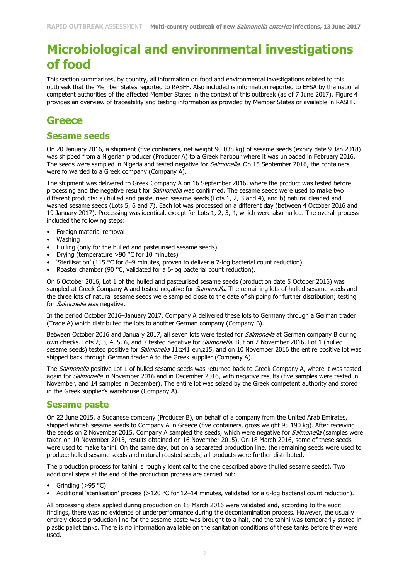# **Microbiological and environmental investigations of food**

This section summarises, by country, all information on food and environmental investigations related to this outbreak that the Member States reported to RASFF. Also included is information reported to EFSA by the national competent authorities of the affected Member States in the context of this outbreak (as of 7 June 2017). Figure 4 provides an overview of traceability and testing information as provided by Member States or available in RASFF.

### **Greece**

### **Sesame seeds**

On 20 January 2016, a shipment (five containers, net weight 90 038 kg) of sesame seeds (expiry date 9 Jan 2018) was shipped from a Nigerian producer (Producer A) to a Greek harbour where it was unloaded in February 2016. The seeds were sampled in Nigeria and tested negative for *Salmonella*. On 15 September 2016, the containers were forwarded to a Greek company (Company A).

The shipment was delivered to Greek Company A on 16 September 2016, where the product was tested before processing and the negative result for *Salmonella* was confirmed. The sesame seeds were used to make two different products: a) hulled and pasteurised sesame seeds (Lots 1, 2, 3 and 4), and b) natural cleaned and washed sesame seeds (Lots 5, 6 and 7). Each lot was processed on a different day (between 4 October 2016 and 19 January 2017). Processing was identical, except for Lots 1, 2, 3, 4, which were also hulled. The overall process included the following steps:

- Foreign material removal
- Washing
- Hulling (only for the hulled and pasteurised sesame seeds)
- Drying (temperature >90 °C for 10 minutes)
- 'Sterilisation' (115 °C for 8–9 minutes, proven to deliver a 7-log bacterial count reduction)
- Roaster chamber (90 °C, validated for a 6-log bacterial count reduction).

On 6 October 2016, Lot 1 of the hulled and pasteurised sesame seeds (production date 5 October 2016) was sampled at Greek Company A and tested negative for *Salmonella*. The remaining lots of hulled sesame seeds and the three lots of natural sesame seeds were sampled close to the date of shipping for further distribution; testing for Salmonella was negative.

In the period October 2016–January 2017, Company A delivered these lots to Germany through a German trader (Trade A) which distributed the lots to another German company (Company B).

Between October 2016 and January 2017, all seven lots were tested for *Salmonella* at German company B during own checks. Lots 2, 3, 4, 5, 6, and 7 tested negative for *Salmonella*. But on 2 November 2016, Lot 1 (hulled sesame seeds) tested positive for *Salmonella* 11:z41:e,n,z15, and on 10 November 2016 the entire positive lot was shipped back through German trader A to the Greek supplier (Company A).

The Salmonella-positive Lot 1 of hulled sesame seeds was returned back to Greek Company A, where it was tested again for Salmonella in November 2016 and in December 2016, with negative results (five samples were tested in November, and 14 samples in December). The entire lot was seized by the Greek competent authority and stored in the Greek supplier's warehouse (Company A).

#### **Sesame paste**

On 22 June 2015, a Sudanese company (Producer B), on behalf of a company from the United Arab Emirates, shipped whitish sesame seeds to Company A in Greece (five containers, gross weight 95 190 kg). After receiving the seeds on 2 November 2015, Company A sampled the seeds, which were negative for *Salmonella* (samples were taken on 10 November 2015, results obtained on 16 November 2015). On 18 March 2016, some of these seeds were used to make tahini. On the same day, but on a separated production line, the remaining seeds were used to produce hulled sesame seeds and natural roasted seeds; all products were further distributed.

The production process for tahini is roughly identical to the one described above (hulled sesame seeds). Two additional steps at the end of the production process are carried out:

- Grinding (>95 °C)
- Additional 'sterilisation' process (>120 °C for 12–14 minutes, validated for a 6-log bacterial count reduction).

All processing steps applied during production on 18 March 2016 were validated and, according to the audit findings, there was no evidence of underperformance during the decontamination process. However, the usually entirely closed production line for the sesame paste was brought to a halt, and the tahini was temporarily stored in plastic pallet tanks. There is no information available on the sanitation conditions of these tanks before they were used.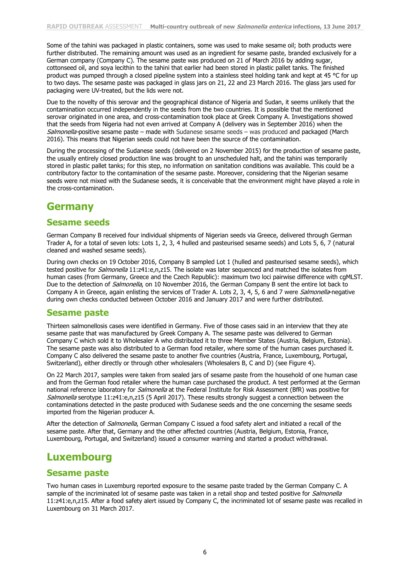Some of the tahini was packaged in plastic containers, some was used to make sesame oil; both products were further distributed. The remaining amount was used as an ingredient for sesame paste, branded exclusively for a German company (Company C). The sesame paste was produced on 21 of March 2016 by adding sugar, cottonseed oil, and soya lecithin to the tahini that earlier had been stored in plastic pallet tanks. The finished product was pumped through a closed pipeline system into a stainless steel holding tank and kept at 45 °C for up to two days. The sesame paste was packaged in glass jars on 21, 22 and 23 March 2016. The glass jars used for packaging were UV-treated, but the lids were not.

Due to the novelty of this serovar and the geographical distance of Nigeria and Sudan, it seems unlikely that the contamination occurred independently in the seeds from the two countries. It is possible that the mentioned serovar originated in one area, and cross-contamination took place at Greek Company A. Investigations showed that the seeds from Nigeria had not even arrived at Company A (delivery was in September 2016) when the Salmonella-positive sesame paste – made with Sudanese sesame seeds – was produced and packaged (March 2016). This means that Nigerian seeds could not have been the source of the contamination.

During the processing of the Sudanese seeds (delivered on 2 November 2015) for the production of sesame paste, the usually entirely closed production line was brought to an unscheduled halt, and the tahini was temporarily stored in plastic pallet tanks; for this step, no information on sanitation conditions was available. This could be a contributory factor to the contamination of the sesame paste. Moreover, considering that the Nigerian sesame seeds were not mixed with the Sudanese seeds, it is conceivable that the environment might have played a role in the cross-contamination.

### **Germany**

#### **Sesame seeds**

German Company B received four individual shipments of Nigerian seeds via Greece, delivered through German Trader A, for a total of seven lots: Lots 1, 2, 3, 4 hulled and pasteurised sesame seeds) and Lots 5, 6, 7 (natural cleaned and washed sesame seeds).

During own checks on 19 October 2016, Company B sampled Lot 1 (hulled and pasteurised sesame seeds), which tested positive for *Salmonella* 11:z41:e,n,z15. The isolate was later sequenced and matched the isolates from human cases (from Germany, Greece and the Czech Republic): maximum two loci pairwise difference with cgMLST. Due to the detection of Salmonella, on 10 November 2016, the German Company B sent the entire lot back to Company A in Greece, again enlisting the services of Trader A. Lots 2, 3, 4, 5, 6 and 7 were *Salmonella*-negative during own checks conducted between October 2016 and January 2017 and were further distributed.

#### **Sesame paste**

Thirteen salmonellosis cases were identified in Germany. Five of those cases said in an interview that they ate sesame paste that was manufactured by Greek Company A. The sesame paste was delivered to German Company C which sold it to Wholesaler A who distributed it to three Member States (Austria, Belgium, Estonia). The sesame paste was also distributed to a German food retailer, where some of the human cases purchased it. Company C also delivered the sesame paste to another five countries (Austria, France, Luxembourg, Portugal, Switzerland), either directly or through other wholesalers (Wholesalers B, C and D) (see Figure 4).

On 22 March 2017, samples were taken from sealed jars of sesame paste from the household of one human case and from the German food retailer where the human case purchased the product. A test performed at the German national reference laboratory for *Salmonella* at the Federal Institute for Risk Assessment (BfR) was positive for Salmonella serotype 11:z41:e,n,z15 (5 April 2017). These results strongly suggest a connection between the contaminations detected in the paste produced with Sudanese seeds and the one concerning the sesame seeds imported from the Nigerian producer A.

After the detection of Salmonella, German Company C issued a food safety alert and initiated a recall of the sesame paste. After that, Germany and the other affected countries (Austria, Belgium, Estonia, France, Luxembourg, Portugal, and Switzerland) issued a consumer warning and started a product withdrawal.

### **Luxembourg**

#### **Sesame paste**

Two human cases in Luxemburg reported exposure to the sesame paste traded by the German Company C. A sample of the incriminated lot of sesame paste was taken in a retail shop and tested positive for Salmonella 11:z41:e,n,z15. After a food safety alert issued by Company C, the incriminated lot of sesame paste was recalled in Luxembourg on 31 March 2017.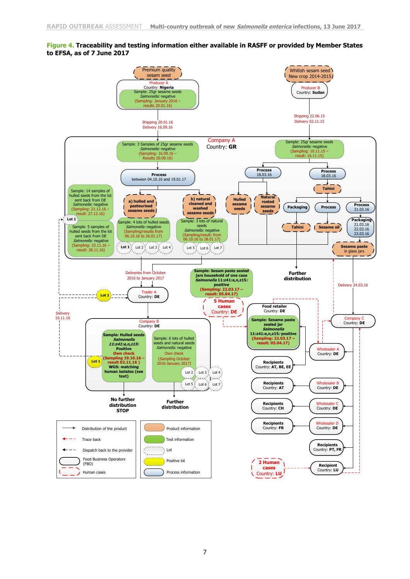#### **Figure 4. Traceability and testing information either available in RASFF or provided by Member States to EFSA, as of 7 June 2017**